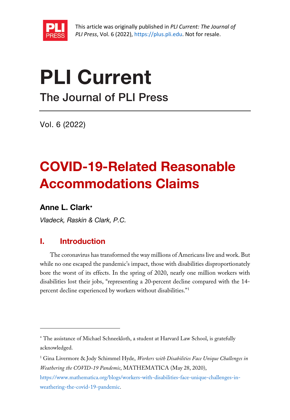

This article was originally published in *PLI Current: The Journal of PLI Press*, Vol. 6 (2022), [https://plus.pli.edu.](https://plus.pli.edu/) Not for resale.

# PLI Current

The Journal of PLI Press

Vol. 6 (2022)

## COVID-19-Related Reasonable Accommodations Claims

## Anne L. Clark[∗](#page-0-0)

*Vladeck, Raskin & Clark, P.C.*

## I. Introduction

The coronavirus has transformed the way millions of Americans live and work. But while no one escaped the pandemic's impact, those with disabilities disproportionately bore the worst of its effects. In the spring of 2020, nearly one million workers with disabilities lost their jobs, "representing a 20‑percent decline compared with the 14 percent decline experienced by workers without disabilities."[1](#page-0-1)

<span id="page-0-0"></span><sup>∗</sup> The assistance of Michael Schneekloth, a student at Harvard Law School, is gratefully acknowledged.

<span id="page-0-1"></span><sup>1</sup> Gina Livermore & Jody Schimmel Hyde, *Workers with Disabilities Face Unique Challenges in Weathering the COVID-19 Pandemic*, MATHEMATICA (May 28, 2020),

[https://www.mathematica.org/blogs/workers-with-disabilities-face-unique-challenges-in](https://www.mathematica.org/blogs/workers-with-disabilities-face-unique-challenges-in-weathering-the-covid-19-pandemic)[weathering-the-covid-19-pandemic.](https://www.mathematica.org/blogs/workers-with-disabilities-face-unique-challenges-in-weathering-the-covid-19-pandemic)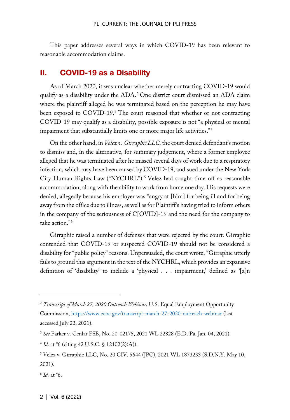This paper addresses several ways in which COVID-19 has been relevant to reasonable accommodation claims.

### II. COVID-19 as a Disability

As of March 2020, it was unclear whether merely contracting COVID-19 would qualify as a disability under the ADA.[2](#page-1-0) One district court dismissed an ADA claim where the plaintiff alleged he was terminated based on the perception he may have been exposed to COVID-19.<sup>[3](#page-1-1)</sup> The court reasoned that whether or not contracting COVID-19 may qualify as a disability, possible exposure is not "a physical or mental impairment that substantially limits one or more major life activities."[4](#page-1-2)

On the other hand, in *Velez v. Girraphic LLC*, the court denied defendant's motion to dismiss and, in the alternative, for summary judgement, where a former employee alleged that he was terminated after he missed several days of work due to a respiratory infection, which may have been caused by COVID-19, and sued under the New York City Human Rights Law ("NYCHRL").<sup>[5](#page-1-3)</sup> Velez had sought time off as reasonable accommodation, along with the ability to work from home one day. His requests were denied, allegedly because his employer was "angry at [him] for being ill and for being away from the office due to illness, as well as for Plaintiff's having tried to inform others in the company of the seriousness of C[OVID]-19 and the need for the company to take action."[6](#page-1-4)

Girraphic raised a number of defenses that were rejected by the court. Girraphic contended that COVID-19 or suspected COVID-19 should not be considered a disability for "public policy" reasons. Unpersuaded, the court wrote, "Girraphic utterly fails to ground this argument in the text of the NYCHRL, which provides an expansive definition of 'disability' to include a 'physical . . . impairment,' defined as '[a]n

<span id="page-1-0"></span><sup>2</sup> *Transcript of March 27, 2020 Outreach Webinar*, U.S. Equal Employment Opportunity Commission,<https://www.eeoc.gov/transcript-march-27-2020-outreach-webinar> (last accessed July 22, 2021).

<span id="page-1-1"></span><sup>3</sup> *See* Parker v. Cenlar FSB, No. 20-02175, 2021 WL 22828 (E.D. Pa. Jan. 04, 2021).

<span id="page-1-2"></span><sup>4</sup> *Id*. at \*6 (citing 42 U.S.C. § 12102(2)(A)).

<span id="page-1-3"></span><sup>5</sup> Velez v. Girraphic LLC, No. 20 CIV. 5644 (JPC), 2021 WL 1873233 (S.D.N.Y. May 10, 2021).

<span id="page-1-4"></span><sup>6</sup> *Id.* at \*6.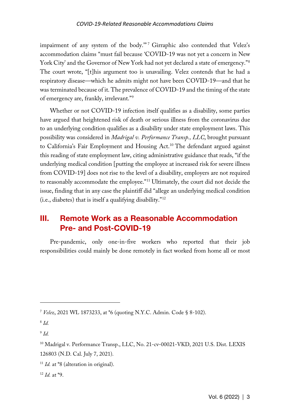#### *COVID-19-Related Reasonable Accommodations Claims*

impairment of any system of the body."<sup>[7](#page-2-0)</sup> Girraphic also contended that Velez's accommodation claims "must fail because 'COVID-19 was not yet a concern in New York City' and the Governor of New York had not yet declared a state of emergency."[8](#page-2-1) The court wrote, "[t]his argument too is unavailing. Velez contends that he had a respiratory disease—which he admits might not have been COVID-19—and that he was terminated because of it. The prevalence of COVID-19 and the timing of the state of emergency are, frankly, irrelevant."[9](#page-2-2)

Whether or not COVID-19 infection itself qualifies as a disability, some parties have argued that heightened risk of death or serious illness from the coronavirus due to an underlying condition qualifies as a disability under state employment laws. This possibility was considered in *Madrigal v. Performance Transp., LLC*, brought pursuant to California's Fair Employment and Housing Act.<sup>[10](#page-2-3)</sup> The defendant argued against this reading of state employment law, citing administrative guidance that reads, "if the underlying medical condition [putting the employee at increased risk for severe illness from COVID-19] does not rise to the level of a disability, employers are not required to reasonably accommodate the employee."[11](#page-2-4) Ultimately, the court did not decide the issue, finding that in any case the plaintiff did "allege an underlying medical condition (i.e., diabetes) that is itself a qualifying disability."[12](#page-2-5)

## III. Remote Work as a Reasonable Accommodation Pre- and Post-COVID-19

Pre-pandemic, only one-in-five workers who reported that their job responsibilities could mainly be done remotely in fact worked from home all or most

<span id="page-2-2"></span><sup>9</sup> *Id.*

<span id="page-2-5"></span><sup>12</sup> *Id.* at \*9.

<span id="page-2-0"></span><sup>7</sup> *Velez*, 2021 WL 1873233, at \*6 (quoting N.Y.C. Admin. Code § 8-102).

<span id="page-2-1"></span><sup>8</sup> *Id.*

<span id="page-2-3"></span><sup>10</sup> Madrigal v. Performance Transp., LLC, No. 21-cv-00021-VKD, 2021 U.S. Dist. LEXIS 126803 (N.D. Cal. July 7, 2021).

<span id="page-2-4"></span><sup>&</sup>lt;sup>11</sup> *Id.* at \*8 (alteration in original).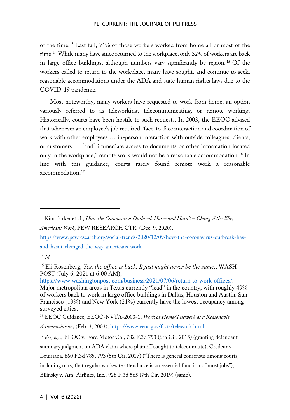#### PLI CURRENT: THE JOURNAL OF PLI PRESS

of the time.[13](#page-3-0) Last fall, 71% of those workers worked from home all or most of the time.<sup>[14](#page-3-1)</sup> While many have since returned to the workplace, only 32% of workers are back in large office buildings, although numbers vary significantly by region.<sup>[15](#page-3-2)</sup> Of the workers called to return to the workplace, many have sought, and continue to seek, reasonable accommodations under the ADA and state human rights laws due to the COVID-19 pandemic.

Most noteworthy, many workers have requested to work from home, an option variously referred to as teleworking, telecommunicating, or remote working. Historically, courts have been hostile to such requests. In 2003, the EEOC advised that whenever an employee's job required "face-to-face interaction and coordination of work with other employees … in-person interaction with outside colleagues, clients, or customers … [and] immediate access to documents or other information located only in the workplace," remote work would not be a reasonable accommodation.[16](#page-3-3) In line with this guidance, courts rarely found remote work a reasonable accommodation.<sup>[17](#page-3-4)</sup>

[https://www.pewresearch.org/social-trends/2020/12/09/how-the-coronavirus-outbreak-has](https://www.pewresearch.org/social-trends/2020/12/09/how-the-coronavirus-outbreak-has-and-hasnt-changed-the-way-americans-work)[and-hasnt-changed-the-way-americans-work.](https://www.pewresearch.org/social-trends/2020/12/09/how-the-coronavirus-outbreak-has-and-hasnt-changed-the-way-americans-work)

[https://www.washingtonpost.com/business/2021/07/06/return-to-work-offices/.](https://www.washingtonpost.com/business/2021/07/06/return-to-work-offices/) Major metropolitan areas in Texas currently "lead" in the country, with roughly 49% of workers back to work in large office buildings in Dallas, Houston and Austin. San Francisco (19%) and New York (21%) currently have the lowest occupancy among surveyed cities.

<span id="page-3-3"></span><sup>16</sup> EEOC Guidance, EEOC-NVTA-2003-1, *Work at Home/Telework as a Reasonable Accommodation*, (Feb. 3, 2003), [https://www.eeoc.gov/facts/telework.html.](https://www.eeoc.gov/facts/telework.html)

<span id="page-3-4"></span><sup>17</sup> *See, e.g.*, EEOC v. Ford Motor Co., 782 F.3d 753 (6th Cir. 2015) (granting defendant summary judgment on ADA claim where plaintiff sought to telecommute); Credeur v. Louisiana, 860 F.3d 785, 793 (5th Cir. 2017) ("There is general consensus among courts, including ours, that regular work-site attendance is an essential function of most jobs"); Bilinsky v. Am. Airlines, Inc., 928 F.3d 565 (7th Cir. 2019) (same).

<span id="page-3-0"></span><sup>13</sup> Kim Parker et al., *How the Coronavirus Outbreak Has – and Hasn't – Changed the Way Americans Work*, PEW RESEARCH CTR. (Dec. 9, 2020),

<span id="page-3-1"></span><sup>14</sup> *Id.*

<span id="page-3-2"></span><sup>15</sup> Eli Rosenberg, *Yes, the office is back. It just might never be the same.*, WASH POST (July 6, 2021 at 6:00 AM),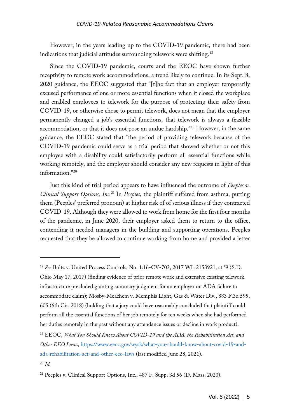However, in the years leading up to the COVID-19 pandemic, there had been indications that judicial attitudes surrounding telework were shifting.<sup>18</sup>

Since the COVID-19 pandemic, courts and the EEOC have shown further receptivity to remote work accommodations, a trend likely to continue. In its Sept. 8, 2020 guidance, the EEOC suggested that "[t]he fact that an employer temporarily excused performance of one or more essential functions when it closed the workplace and enabled employees to telework for the purpose of protecting their safety from COVID-19, or otherwise chose to permit telework, does not mean that the employer permanently changed a job's essential functions, that telework is always a feasible accommodation, or that it does not pose an undue hardship."[19](#page-4-1) However, in the same guidance, the EEOC stated that "the period of providing telework because of the COVID-19 pandemic could serve as a trial period that showed whether or not this employee with a disability could satisfactorily perform all essential functions while working remotely, and the employer should consider any new requests in light of this information."[20](#page-4-2)

Just this kind of trial period appears to have influenced the outcome of *Peeples v. Clinical Support Options, Inc.*[21](#page-4-3) In *Peeples*, the plaintiff suffered from asthma, putting them (Peeples' preferred pronoun) at higher risk of of serious illness if they contracted COVID-19. Although they were allowed to work from home for the first four months of the pandemic, in June 2020, their employer asked them to return to the office, contending it needed managers in the building and supporting operations. Peeples requested that they be allowed to continue working from home and provided a letter

Ohio May 17, 2017) (finding evidence of prior remote work and extensive existing telework infrastructure precluded granting summary judgment for an employer on ADA failure to accommodate claim); Mosby-Meachem v. Memphis Light, Gas & Water Div., 883 F.3d 595, 605 (6th Cir. 2018) (holding that a jury could have reasonably concluded that plaintiff could perform all the essential functions of her job remotely for ten weeks when she had performed her duties remotely in the past without any attendance issues or decline in work product).

<span id="page-4-0"></span><sup>18</sup> *See* Boltz v. United Process Controls, No. 1:16-CV-703, 2017 WL 2153921, at \*9 (S.D.

<span id="page-4-1"></span><sup>19</sup> EEOC, *What You Should Know About COVID-19 and the ADA, the Rehabilitation Act, and Other EEO Laws*, [https://www.eeoc.gov/wysk/what-you-should-know-about-covid-19-and](https://www.eeoc.gov/wysk/what-you-should-know-about-covid-19-and-ada-rehabilitation-act-and-other-eeo-laws)[ada-rehabilitation-act-and-other-eeo-laws](https://www.eeoc.gov/wysk/what-you-should-know-about-covid-19-and-ada-rehabilitation-act-and-other-eeo-laws) (last modified June 28, 2021).

<span id="page-4-2"></span><sup>20</sup> *Id.*

<span id="page-4-3"></span><sup>21</sup> Peeples v. Clinical Support Options, Inc., 487 F. Supp. 3d 56 (D. Mass. 2020).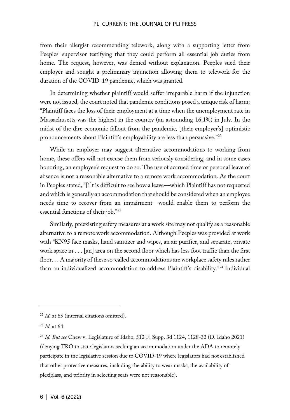#### PLI CURRENT: THE JOURNAL OF PLI PRESS

from their allergist recommending telework, along with a supporting letter from Peeples' supervisor testifying that they could perform all essential job duties from home. The request, however, was denied without explanation. Peeples sued their employer and sought a preliminary injunction allowing them to telework for the duration of the COVID-19 pandemic, which was granted.

In determining whether plaintiff would suffer irreparable harm if the injunction were not issued, the court noted that pandemic conditions posed a unique risk of harm: "Plaintiff faces the loss of their employment at a time when the unemployment rate in Massachusetts was the highest in the country (an astounding 16.1%) in July. In the midst of the dire economic fallout from the pandemic, [their employer's] optimistic pronouncements about Plaintiff's employability are less than persuasive."<sup>[22](#page-5-0)</sup>

While an employer may suggest alternative accommodations to working from home, these offers will not excuse them from seriously considering, and in some cases honoring, an employee's request to do so. The use of accrued time or personal leave of absence is not a reasonable alternative to a remote work accommodation. As the court in Peoples stated, "[i]t is difficult to see how a leave—which Plaintiff has not requested and which is generally an accommodation that should be considered when an employee needs time to recover from an impairment—would enable them to perform the essential functions of their job."[23](#page-5-1)

Similarly, preexisting safety measures at a work site may not qualify as a reasonable alternative to a remote work accommodation. Although Peeples was provided at work with "KN95 face masks, hand sanitizer and wipes, an air purifier, and separate, private work space in . . . [an] area on the second floor which has less foot traffic than the first floor. . . A majority of these so-called accommodations are workplace safety rules rather than an individualized accommodation to address Plaintiff's disability."[24](#page-5-2) Individual

<span id="page-5-0"></span><sup>22</sup> *Id.* at 65 (internal citations omitted).

<span id="page-5-1"></span><sup>23</sup> *Id.* at 64.

<span id="page-5-2"></span><sup>24</sup> *Id. But see* Chew v. Legislature of Idaho, 512 F. Supp. 3d 1124, 1128-32 (D. Idaho 2021) (denying TRO to state legislators seeking an accommodation under the ADA to remotely participate in the legislative session due to COVID-19 where legislators had not established that other protective measures, including the ability to wear masks, the availability of plexiglass, and priority in selecting seats were not reasonable).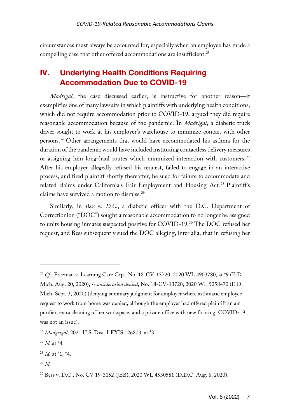circumstances must always be accounted for, especially when an employee has made a compelling case that other offered accommodations are insufficient.<sup>[25](#page-6-0)</sup>

## IV. Underlying Health Conditions Requiring Accommodation Due to COVID-19

*Madrigal*, the case discussed earlier, is instructive for another reason—it exemplifies one of many lawsuits in which plaintiffs with underlying health conditions, which did not require accommodation prior to COVID-19, argued they did require reasonable accommodation because of the pandemic. In *Madrigal*, a diabetic truck driver sought to work at his employer's warehouse to minimize contact with other persons.[26](#page-6-1) Other arrangements that would have accommodated his asthma for the duration of the pandemic would have included instituting contactless delivery measures or assigning him long-haul routes which minimized interaction with customers.<sup>[27](#page-6-2)</sup> After his employer allegedly refused his request, failed to engage in an interactive process, and fired plaintiff shortly thereafter, he sued for failure to accommodate and related claims under California's Fair Employment and Housing Act. [28](#page-6-3) Plaintiff's claims have survived a motion to dismiss.<sup>[29](#page-6-4)</sup>

Similarly, in *Bess v. D.C.*, a diabetic officer with the D.C. Department of Correctionion ("DOC") sought a reasonable accommodation to no longer be assigned to units housing inmates suspected positive for COVID-19.[30](#page-6-5) The DOC refused her request, and Bess subsequently sued the DOC alleging, inter alia, that in refusing her

<span id="page-6-0"></span><sup>25</sup> *Cf.*, Freeman v. Learning Care Grp., No. 18-CV-13720, 2020 WL 4903780, at \*9 (E.D. Mich. Aug. 20, 2020), *reconsideration denied*, No. 18-CV-13720, 2020 WL 5258470 (E.D. Mich. Sept. 3, 2020) (denying summary judgment for employer where asthmatic employee request to work from home was denied, although the employer had offered plaintiff an air purifier, extra cleaning of her workspace, and a private office with new flooring; COVID-19 was not an issue).

<span id="page-6-1"></span><sup>26</sup> *Madgrigal*, 2021 U.S. Dist. LEXIS 126803, at \*3.

<span id="page-6-2"></span><sup>27</sup> *Id.* at \*4.

<span id="page-6-3"></span><sup>28</sup> *Id.* at \*1, \*4.

<span id="page-6-4"></span><sup>29</sup> *Id.*

<span id="page-6-5"></span><sup>30</sup> Bess v. D.C., No. CV 19-3152 (JEB), 2020 WL 4530581 (D.D.C. Aug. 6, 2020).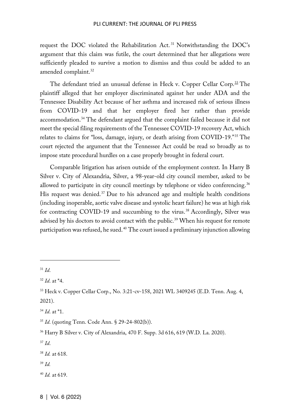request the DOC violated the Rehabilitation Act. [31](#page-7-0) Notwithstanding the DOC's argument that this claim was futile, the court determined that her allegations were sufficiently pleaded to survive a motion to dismiss and thus could be added to an amended complaint.<sup>[32](#page-7-1)</sup>

The defendant tried an unusual defense in Heck v. Copper Cellar Corp.<sup>[33](#page-7-2)</sup> The plaintiff alleged that her employer discriminated against her under ADA and the Tennessee Disability Act because of her asthma and increased risk of serious illness from COVID-19 and that her employer fired her rather than provide accommodation.[34](#page-7-3) The defendant argued that the complaint failed because it did not meet the special filing requirements of the Tennessee COVID-19 recovery Act, which relates to claims for "loss, damage, injury, or death arising from COVID-19."[35](#page-7-4) The court rejected the argument that the Tennessee Act could be read so broadly as to impose state procedural hurdles on a case properly brought in federal court.

Comparable litigation has arisen outside of the employment context. In Harry B Silver v. City of Alexandria, Silver, a 98-year-old city council member, asked to be allowed to participate in city council meetings by telephone or video conferencing.<sup>[36](#page-7-5)</sup> His request was denied.<sup>[37](#page-7-6)</sup> Due to his advanced age and multiple health conditions (including inoperable, aortic valve disease and systolic heart failure) he was at high risk for contracting COVID-19 and succumbing to the virus.<sup>[38](#page-7-7)</sup> Accordingly, Silver was advised by his doctors to avoid contact with the public.<sup>[39](#page-7-8)</sup> When his request for remote participation was refused, he sued.[40](#page-7-9) The court issued a preliminary injunction allowing

<span id="page-7-0"></span><sup>31</sup> *Id*.

<span id="page-7-1"></span><sup>32</sup> *Id*. at \*4.

<span id="page-7-2"></span><sup>33</sup> Heck v. Copper Cellar Corp., No. 3:21-cv-158, 2021 WL 3409245 (E.D. Tenn. Aug. 4, 2021).

<span id="page-7-3"></span><sup>34</sup> *Id*. at \*1.

<span id="page-7-4"></span><sup>35</sup> *Id*. (quoting Tenn. Code Ann. § 29-24-802(b)).

<span id="page-7-5"></span><sup>36</sup> Harry B Silver v. City of Alexandria, 470 F. Supp. 3d 616, 619 (W.D. La. 2020).

<span id="page-7-6"></span><sup>37</sup> *Id*.

<span id="page-7-7"></span><sup>38</sup> *Id.* at 618.

<span id="page-7-8"></span><sup>39</sup> *Id.* 

<span id="page-7-9"></span><sup>40</sup> *Id.* at 619.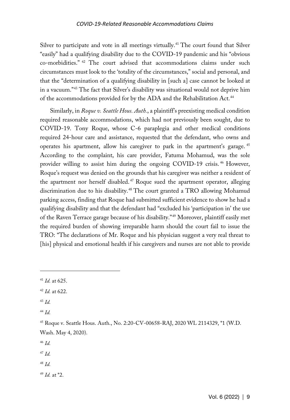#### *COVID-19-Related Reasonable Accommodations Claims*

Silver to participate and vote in all meetings virtually.<sup>[41](#page-8-0)</sup> The court found that Silver "easily" had a qualifying disability due to the COVID-19 pandemic and his "obvious co-morbidities." [42](#page-8-1) The court advised that accommodations claims under such circumstances must look to the 'totality of the circumstances," social and personal, and that the "determination of a qualifying disability in [such a] case cannot be looked at in a vacuum."[43](#page-8-2) The fact that Silver's disability was situational would not deprive him of the accommodations provided for by the ADA and the Rehabilitation Act.<sup>[44](#page-8-3)</sup>

Similarly, in *Roque v. Seattle Hous. Auth.*, a plaintiff's preexisting medical condition required reasonable accommodations, which had not previously been sought, due to COVID-19. Tony Roque, whose C-6 paraplegia and other medical conditions required 24-hour care and assistance, requested that the defendant, who owns and operates his apartment, allow his caregiver to park in the apartment's garage. [45](#page-8-4) According to the complaint, his care provider, Fatuma Mohamud, was the sole provider willing to assist him during the ongoing COVID-19 crisis. [46](#page-8-5) However, Roque's request was denied on the grounds that his caregiver was neither a resident of the apartment nor herself disabled.<sup>[47](#page-8-6)</sup> Roque sued the apartment operator, alleging discrimination due to his disability.[48](#page-8-7) The court granted a TRO allowing Mohamud parking access, finding that Roque had submitted sufficient evidence to show he had a qualifying disability and that the defendant had "excluded his 'participation in' the use of the Raven Terrace garage because of his disability."[49](#page-8-8) Moreover, plaintiff easily met the required burden of showing irreparable harm should the court fail to issue the TRO: "The declarations of Mr. Roque and his physician suggest a very real threat to [his] physical and emotional health if his caregivers and nurses are not able to provide

<span id="page-8-2"></span><sup>43</sup> *Id.*

<span id="page-8-3"></span><sup>44</sup> *Id.*

<span id="page-8-5"></span><sup>46</sup> *Id.*

<span id="page-8-6"></span><sup>47</sup> *Id.*

<span id="page-8-7"></span><sup>48</sup> *Id.*

<span id="page-8-8"></span><sup>49</sup> *Id.* at \*2.

<span id="page-8-0"></span><sup>41</sup> *Id.* at 625.

<span id="page-8-1"></span><sup>42</sup> *Id.* at 622.

<span id="page-8-4"></span><sup>45</sup> Roque v. Seattle Hous. Auth., No. 2:20-CV-00658-RAJ, 2020 WL 2114329, \*1 (W.D. Wash. May 4, 2020).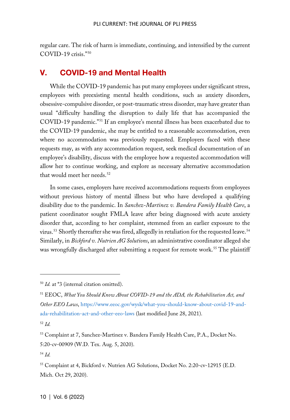regular care. The risk of harm is immediate, continuing, and intensified by the current COVID-19 crisis."[50](#page-9-0)

## V. COVID-19 and Mental Health

While the COVID-19 pandemic has put many employees under significant stress, employees with preexisting mental health conditions, such as anxiety disorders, obsessive-compulsive disorder, or post-traumatic stress disorder, may have greater than usual "difficulty handling the disruption to daily life that has accompanied the COVID-19 pandemic."[51](#page-9-1) If an employee's mental illness has been exacerbated due to the COVID-19 pandemic, she may be entitled to a reasonable accommodation, even where no accommodation was previously requested. Employers faced with these requests may, as with any accommodation request, seek medical documentation of an employee's disability, discuss with the employee how a requested accommodation will allow her to continue working, and explore as necessary alternative accommodation that would meet her needs.<sup>[52](#page-9-2)</sup>

In some cases, employers have received accommodations requests from employees without previous history of mental illness but who have developed a qualifying disability due to the pandemic. In *Sanchez-Martinez v. Bandera Family Health Care*, a patient coordinator sought FMLA leave after being diagnosed with acute anxiety disorder that, according to her complaint, stemmed from an earlier exposure to the virus.<sup>[53](#page-9-3)</sup> Shortly thereafter she was fired, allegedly in retaliation for the requested leave.<sup>[54](#page-9-4)</sup> Similarly, in *Bickford v. Nutrien AG Solutions*, an administrative coordinator alleged she was wrongfully discharged after submitting a request for remote work.<sup>[55](#page-9-5)</sup> The plaintiff

<span id="page-9-0"></span><sup>50</sup> *Id.* at \*3 (internal citation omitted).

<span id="page-9-1"></span><sup>51</sup> EEOC, *What You Should Know About COVID-19 and the ADA, the Rehabilitation Act, and Other EEO Laws*, [https://www.eeoc.gov/wysk/what-you-should-know-about-covid-19-and](https://www.eeoc.gov/wysk/what-you-should-know-about-covid-19-and-ada-rehabilitation-act-and-other-eeo-laws)[ada-rehabilitation-act-and-other-eeo-laws](https://www.eeoc.gov/wysk/what-you-should-know-about-covid-19-and-ada-rehabilitation-act-and-other-eeo-laws) (last modified June 28, 2021).

<span id="page-9-2"></span><sup>52</sup> *Id.*

<span id="page-9-3"></span><sup>53</sup> Complaint at 7, Sanchez-Martinez v. Bandera Family Health Care, P.A., Docket No. 5:20-cv-00909 (W.D. Tex. Aug. 5, 2020).

<span id="page-9-4"></span><sup>54</sup> *Id.*

<span id="page-9-5"></span><sup>55</sup> Complaint at 4, Bickford v. Nutrien AG Solutions, Docket No. 2:20-cv-12915 (E.D. Mich. Oct 29, 2020).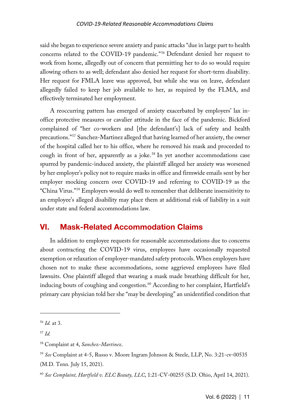said she began to experience severe anxiety and panic attacks "due in large part to health concerns related to the COVID-19 pandemic."[56](#page-10-0) Defendant denied her request to work from home, allegedly out of concern that permitting her to do so would require allowing others to as well; defendant also denied her request for short-term disability. Her request for FMLA leave was approved, but while she was on leave, defendant allegedly failed to keep her job available to her, as required by the FLMA, and effectively terminated her employment.

A reoccurring pattern has emerged of anxiety exacerbated by employers' lax inoffice protective measures or cavalier attitude in the face of the pandemic. Bickford complained of "her co-workers and [the defendant's] lack of safety and health precautions."[57](#page-10-1) Sanchez-Martinez alleged that having learned of her anxiety, the owner of the hospital called her to his office, where he removed his mask and proceeded to cough in front of her, apparently as a joke.<sup>[58](#page-10-2)</sup> In yet another accommodations case spurred by pandemic-induced anxiety, the plaintiff alleged her anxiety was worsened by her employer's policy not to require masks in office and firmwide emails sent by her employer mocking concern over COVID-19 and referring to COVID-19 as the "China Virus."[59](#page-10-3) Employers would do well to remember that deliberate insensitivity to an employee's alleged disability may place them at additional risk of liability in a suit under state and federal accommodations law.

## VI. Mask-Related Accommodation Claims

In addition to employee requests for reasonable accommodations due to concerns about contracting the COVID-19 virus, employees have occasionally requested exemption or relaxation of employer-mandated safety protocols. When employers have chosen not to make these accommodations, some aggrieved employees have filed lawsuits. One plaintiff alleged that wearing a mask made breathing difficult for her, inducing bouts of coughing and congestion.<sup>[60](#page-10-4)</sup> According to her complaint, Hartfield's primary care physician told her she "may be developing" an unidentified condition that

<span id="page-10-0"></span><sup>56</sup> *Id.* at 3.

<span id="page-10-1"></span><sup>57</sup> *Id.*

<span id="page-10-2"></span><sup>58</sup> Complaint at 4, *Sanchez-Martinez*.

<span id="page-10-3"></span><sup>59</sup> *See* Complaint at 4-5, Russo v. Moore Ingram Johnson & Steele, LLP, No. 3:21-cv-00535 (M.D. Tenn. July 15, 2021).

<span id="page-10-4"></span><sup>60</sup> *See Complaint, Hartfield v. ELC Beauty, LLC*, 1:21-CV-00255 (S.D. Ohio, April 14, 2021).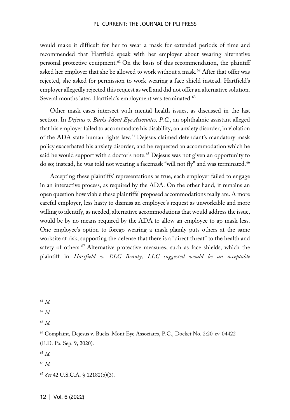#### PLI CURRENT: THE JOURNAL OF PLI PRESS

would make it difficult for her to wear a mask for extended periods of time and recommended that Hartfield speak with her employer about wearing alternative personal protective equipment.<sup>[61](#page-11-0)</sup> On the basis of this recommendation, the plaintiff asked her employer that she be allowed to work without a mask.<sup>[62](#page-11-1)</sup> After that offer was rejected, she asked for permission to work wearing a face shield instead. Hartfield's employer allegedly rejected this request as well and did not offer an alternative solution. Several months later, Hartfield's employment was terminated.<sup>[63](#page-11-2)</sup>

Other mask cases intersect with mental health issues, as discussed in the last section. In *Dejesus v. Bucks-Mont Eye Associates, P.C.*, an ophthalmic assistant alleged that his employer failed to accommodate his disability, an anxiety disorder, in violation of the ADA state human rights law.[64](#page-11-3) Dejesus claimed defendant's mandatory mask policy exacerbated his anxiety disorder, and he requested an accommodation which he said he would support with a doctor's note.<sup>[65](#page-11-4)</sup> Dejesus was not given an opportunity to do so; instead, he was told not wearing a facemask "will not fly" and was terminated.<sup>[66](#page-11-5)</sup>

Accepting these plaintiffs' representations as true, each employer failed to engage in an interactive process, as required by the ADA. On the other hand, it remains an open question how viable these plaintiffs' proposed accommodations really are. A more careful employer, less hasty to dismiss an employee's request as unworkable and more willing to identify, as needed, alternative accommodations that would address the issue, would be by no means required by the ADA to allow an employee to go mask-less. One employee's option to forego wearing a mask plainly puts others at the same worksite at risk, supporting the defense that there is a "direct threat" to the health and safety of others.<sup>[67](#page-11-6)</sup> Alternative protective measures, such as face shields, which the plaintiff in *Hartfield v. ELC Beauty, LLC suggested would be an acceptable* 

<span id="page-11-1"></span><sup>62</sup> *Id.*

<span id="page-11-2"></span><sup>63</sup> *Id.*

<span id="page-11-6"></span><sup>67</sup> *See* 42 U.S.C.A. § 12182(b)(3).

<span id="page-11-0"></span><sup>61</sup> *Id.*

<span id="page-11-3"></span><sup>64</sup> Complaint, Dejesus v. Bucks-Mont Eye Associates, P.C., Docket No. 2:20-cv-04422 (E.D. Pa. Sep. 9, 2020).

<span id="page-11-4"></span><sup>65</sup> *Id.*

<span id="page-11-5"></span><sup>66</sup> *Id.*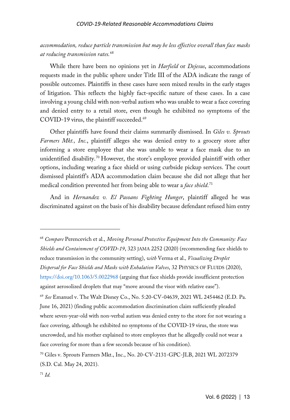#### *COVID-19-Related Reasonable Accommodations Claims*

*accommodation, reduce particle transmission but may be less effective overall than face masks at reducing transmission rates.*[68](#page-12-0)

While there have been no opinions yet in *Harfield* or *Dejesus*, accommodations requests made in the public sphere under Title III of the ADA indicate the range of possible outcomes. Plaintiffs in these cases have seen mixed results in the early stages of litigation. This reflects the highly fact-specific nature of these cases. In a case involving a young child with non-verbal autism who was unable to wear a face covering and denied entry to a retail store, even though he exhibited no symptoms of the COVID-19 virus, the plaintiff succeeded.<sup>[69](#page-12-1)</sup>

Other plaintiffs have found their claims summarily dismissed. In *Giles v. Sprouts Farmers Mkt., Inc.*, plaintiff alleges she was denied entry to a grocery store after informing a store employee that she was unable to wear a face mask due to an unidentified disability.<sup>[70](#page-12-2)</sup> However, the store's employee provided plaintiff with other options, including wearing a face shield or using curbside pickup services. The court dismissed plaintiff's ADA accommodation claim because she did not allege that her medical condition prevented her from being able to wear a *face shield*. [71](#page-12-3)

And in *Hernandez v. El Pasoans Fighting Hunger*, plaintiff alleged he was discriminated against on the basis of his disability because defendant refused him entry

<span id="page-12-0"></span><sup>68</sup> *Compare* Perencevich et al., *Moving Personal Protective Equipment Into the Community: Face Shields and Containment of COVID-19*, 323 JAMA 2252 (2020) (recommending face shields to reduce transmission in the community setting), *with* Verma et al.*, Visualizing Droplet Dispersal for Face Shields and Masks with Exhalation Valves*, 32 PHYSICS OF FLUIDS (2020), <https://doi.org/10.1063/5.0022968> (arguing that face shields provide insufficient protection against aerosolized droplets that may "move around the visor with relative ease"). <sup>69</sup> *See* Emanuel v. The Walt Disney Co., No. 5:20-CV-04639, 2021 WL 2454462 (E.D. Pa. June 16, 2021) (finding public accommodation discrimination claim sufficiently pleaded where seven-year-old with non-verbal autism was denied entry to the store for not wearing a face covering, although he exhibited no symptoms of the COVID-19 virus, the store was uncrowded, and his mother explained to store employees that he allegedly could not wear a

<span id="page-12-1"></span>face covering for more than a few seconds because of his condition).

<span id="page-12-2"></span><sup>70</sup> Giles v. Sprouts Farmers Mkt., Inc., No. 20-CV-2131-GPC-JLB, 2021 WL 2072379 (S.D. Cal. May 24, 2021).

<span id="page-12-3"></span><sup>71</sup> *Id.*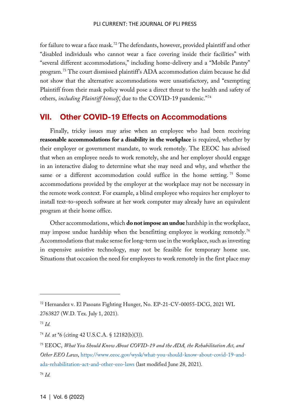for failure to wear a face mask.[72](#page-13-0) The defendants, however, provided plaintiff and other "disabled individuals who cannot wear a face covering inside their facilities" with "several different accommodations," including home-delivery and a "Mobile Pantry" program.[73](#page-13-1) The court dismissed plaintiff's ADA accommodation claim because he did not show that the alternative accommodations were unsatisfactory, and "exempting Plaintiff from their mask policy would pose a direct threat to the health and safety of others, *including Plaintiff himself*, due to the COVID-19 pandemic."[74](#page-13-2)

## VII. Other COVID-19 Effects on Accommodations

Finally, tricky issues may arise when an employee who had been receiving **reasonable accommodations for a disability in the workplace** is required, whether by their employer or government mandate, to work remotely. The EEOC has advised that when an employee needs to work remotely, she and her employer should engage in an interactive dialog to determine what she may need and why, and whether the same or a different accommodation could suffice in the home setting.<sup>[75](#page-13-3)</sup> Some accommodations provided by the employer at the workplace may not be necessary in the remote work context. For example, a blind employee who requires her employer to install text-to-speech software at her work computer may already have an equivalent program at their home office.

Other accommodations, which **do not impose an undue** hardship in the workplace, may impose undue hardship when the benefitting employee is working remotely.<sup>[76](#page-13-4)</sup> Accommodations that make sense for long-term use in the workplace, such as investing in expensive assistive technology, may not be feasible for temporary home use. Situations that occasion the need for employees to work remotely in the first place may

<span id="page-13-0"></span><sup>72</sup> Hernandez v. El Pasoans Fighting Hunger, No. EP-21-CV-00055-DCG, 2021 WL 2763827 (W.D. Tex. July 1, 2021).

<span id="page-13-1"></span><sup>73</sup> *Id.*

<span id="page-13-2"></span><sup>74</sup> *Id.* at \*6 (citing 42 U.S.C.A. § 12182(b)(3)).

<span id="page-13-3"></span><sup>75</sup> EEOC, *What You Should Know About COVID-19 and the ADA, the Rehabilitation Act, and Other EEO Laws*, [https://www.eeoc.gov/wysk/what-you-should-know-about-covid-19-and](https://www.eeoc.gov/wysk/what-you-should-know-about-covid-19-and-ada-rehabilitation-act-and-other-eeo-laws)[ada-rehabilitation-act-and-other-eeo-laws](https://www.eeoc.gov/wysk/what-you-should-know-about-covid-19-and-ada-rehabilitation-act-and-other-eeo-laws) (last modified June 28, 2021).

<span id="page-13-4"></span><sup>76</sup> *Id.*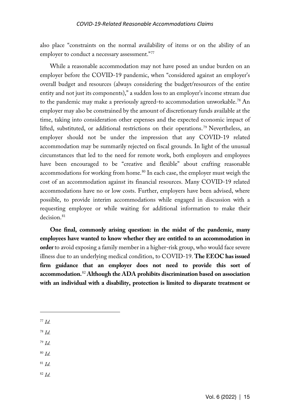also place "constraints on the normal availability of items or on the ability of an employer to conduct a necessary assessment."[77](#page-14-0)

While a reasonable accommodation may not have posed an undue burden on an employer before the COVID-19 pandemic, when "considered against an employer's overall budget and resources (always considering the budget/resources of the entire entity and not just its components)," a sudden loss to an employer's income stream due to the pandemic may make a previously agreed-to accommodation unworkable.<sup>[78](#page-14-1)</sup> An employer may also be constrained by the amount of discretionary funds available at the time, taking into consideration other expenses and the expected economic impact of lifted, substituted, or additional restrictions on their operations.<sup>[79](#page-14-2)</sup> Nevertheless, an employer should not be under the impression that any COVID-19 related accommodation may be summarily rejected on fiscal grounds. In light of the unusual circumstances that led to the need for remote work, both employers and employees have been encouraged to be "creative and flexible" about crafting reasonable accommodations for working from home.<sup>[80](#page-14-3)</sup> In each case, the employer must weigh the cost of an accommodation against its financial resources. Many COVID-19 related accommodations have no or low costs. Further, employers have been advised, where possible, to provide interim accommodations while engaged in discussion with a requesting employee or while waiting for additional information to make their decision<sup>[81](#page-14-4)</sup>

**One final, commonly arising question: in the midst of the pandemic, many employees have wanted to know whether they are entitled to an accommodation in order** to avoid exposing a family member in a higher-risk group, who would face severe illness due to an underlying medical condition, to COVID-19. **The EEOC has issued firm guidance that an employer does not need to provide this sort of accommodation.**[82](#page-14-5) **Although the ADA prohibits discrimination based on association with an individual with a disability, protection is limited to disparate treatment or** 

- <span id="page-14-1"></span><sup>78</sup> *Id.*
- <span id="page-14-2"></span><sup>79</sup> *Id.*
- <span id="page-14-3"></span><sup>80</sup> *Id.*
- <span id="page-14-4"></span><sup>81</sup> *Id.*
- <span id="page-14-5"></span><sup>82</sup> *Id.*

<span id="page-14-0"></span><sup>77</sup> *Id.*